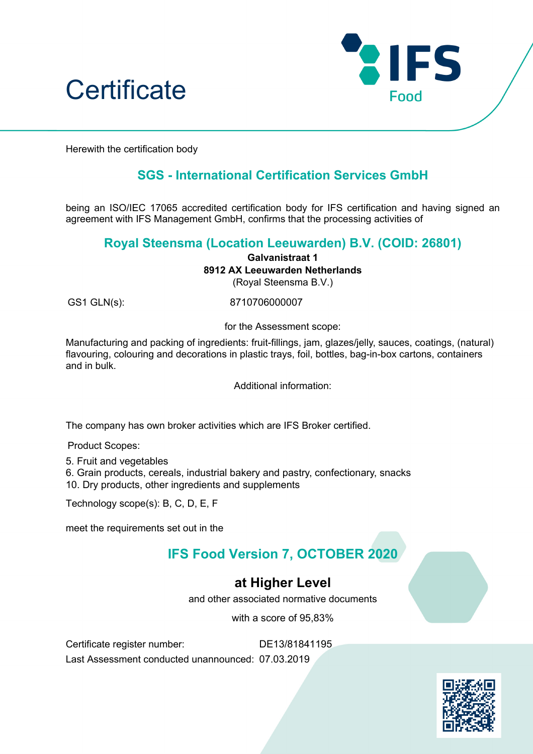



Herewith the certification body

## **SGS - International Certification Services GmbH**

being an ISO/IEC 17065 accredited certification body for IFS certification and having signed an agreement with IFS Management GmbH, confirms that the processing activities of

#### **Royal Steensma (Location Leeuwarden) B.V. (COID: 26801)**

**Galvanistraat 1**

**8912 AX Leeuwarden Netherlands**

(Royal Steensma B.V.)

GS1 GLN(s): 8710706000007

for the Assessment scope:

Manufacturing and packing of ingredients: fruit-fillings, jam, glazes/jelly, sauces, coatings, (natural) flavouring, colouring and decorations in plastic trays, foil, bottles, bag-in-box cartons, containers and in bulk.

Additional information:

The company has own broker activities which are IFS Broker certified.

Product Scopes:

5. Fruit and vegetables

6. Grain products, cereals, industrial bakery and pastry, confectionary, snacks 10. Dry products, other ingredients and supplements

Technology scope(s): B, C, D, E, F

meet the requirements set out in the

# **IFS Food Version 7, OCTOBER 2020**

## **at Higher Level**

and other associated normative documents

with a score of 95,83%

Certificate register number: DE13/81841195

Last Assessment conducted unannounced: 07.03.2019